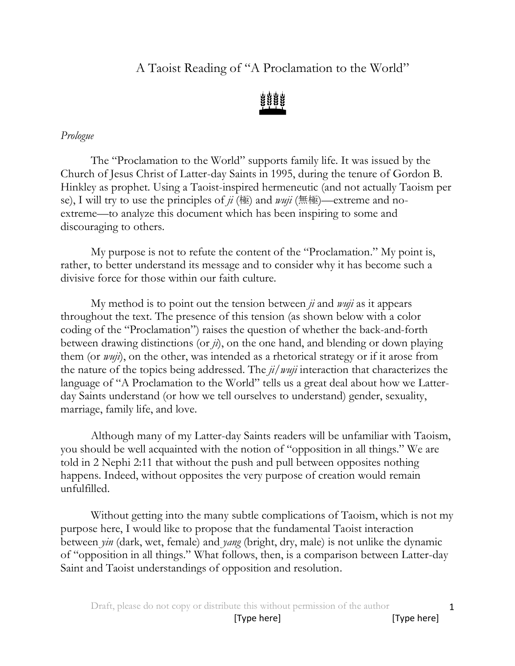## A Taoist Reading of "A Proclamation to the World"

### *Prologue*

The "Proclamation to the World" supports family life. It was issued by the Church of Jesus Christ of Latter-day Saints in 1995, during the tenure of Gordon B. Hinkley as prophet. Using a Taoist-inspired hermeneutic (and not actually Taoism per se), I will try to use the principles of *ji* (極) and *wuji* (無極)—extreme and noextreme—to analyze this document which has been inspiring to some and discouraging to others.

My purpose is not to refute the content of the "Proclamation." My point is, rather, to better understand its message and to consider why it has become such a divisive force for those within our faith culture.

My method is to point out the tension between *ji* and *wuji* as it appears throughout the text. The presence of this tension (as shown below with a color coding of the "Proclamation") raises the question of whether the back-and-forth between drawing distinctions (or *ji*), on the one hand, and blending or down playing them (or *wuji*), on the other, was intended as a rhetorical strategy or if it arose from the nature of the topics being addressed. The *ji/wuji* interaction that characterizes the language of "A Proclamation to the World" tells us a great deal about how we Latterday Saints understand (or how we tell ourselves to understand) gender, sexuality, marriage, family life, and love.

Although many of my Latter-day Saints readers will be unfamiliar with Taoism, you should be well acquainted with the notion of "opposition in all things." We are told in 2 Nephi 2:11 that without the push and pull between opposites nothing happens. Indeed, without opposites the very purpose of creation would remain unfulfilled.

Without getting into the many subtle complications of Taoism, which is not my purpose here, I would like to propose that the fundamental Taoist interaction between *yin* (dark, wet, female) and *yang* (bright, dry, male) is not unlike the dynamic of "opposition in all things." What follows, then, is a comparison between Latter-day Saint and Taoist understandings of opposition and resolution.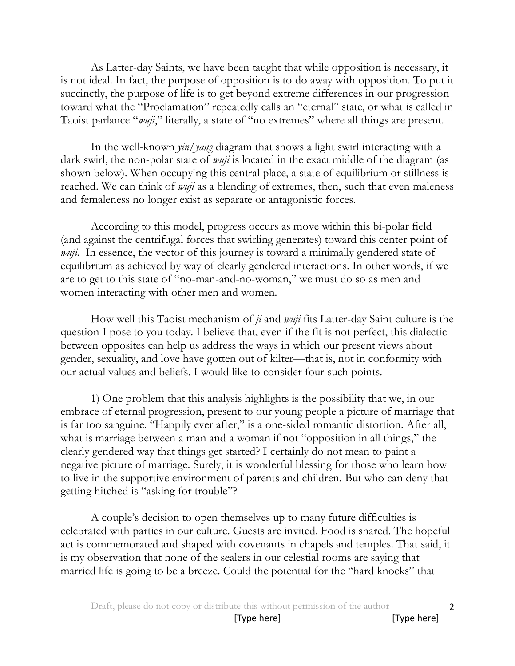As Latter-day Saints, we have been taught that while opposition is necessary, it is not ideal. In fact, the purpose of opposition is to do away with opposition. To put it succinctly, the purpose of life is to get beyond extreme differences in our progression toward what the "Proclamation" repeatedly calls an "eternal" state, or what is called in Taoist parlance "*wuji*," literally, a state of "no extremes" where all things are present.

In the well-known *yin/yang* diagram that shows a light swirl interacting with a dark swirl, the non-polar state of *wuji* is located in the exact middle of the diagram (as shown below). When occupying this central place, a state of equilibrium or stillness is reached. We can think of *wuji* as a blending of extremes, then, such that even maleness and femaleness no longer exist as separate or antagonistic forces.

According to this model, progress occurs as move within this bi-polar field (and against the centrifugal forces that swirling generates) toward this center point of *wuji.* In essence, the vector of this journey is toward a minimally gendered state of equilibrium as achieved by way of clearly gendered interactions. In other words, if we are to get to this state of "no-man-and-no-woman," we must do so as men and women interacting with other men and women.

How well this Taoist mechanism of *ji* and *wuji* fits Latter-day Saint culture is the question I pose to you today. I believe that, even if the fit is not perfect, this dialectic between opposites can help us address the ways in which our present views about gender, sexuality, and love have gotten out of kilter—that is, not in conformity with our actual values and beliefs. I would like to consider four such points.

1) One problem that this analysis highlights is the possibility that we, in our embrace of eternal progression, present to our young people a picture of marriage that is far too sanguine. "Happily ever after," is a one-sided romantic distortion. After all, what is marriage between a man and a woman if not "opposition in all things," the clearly gendered way that things get started? I certainly do not mean to paint a negative picture of marriage. Surely, it is wonderful blessing for those who learn how to live in the supportive environment of parents and children. But who can deny that getting hitched is "asking for trouble"?

A couple's decision to open themselves up to many future difficulties is celebrated with parties in our culture. Guests are invited. Food is shared. The hopeful act is commemorated and shaped with covenants in chapels and temples. That said, it is my observation that none of the sealers in our celestial rooms are saying that married life is going to be a breeze. Could the potential for the "hard knocks" that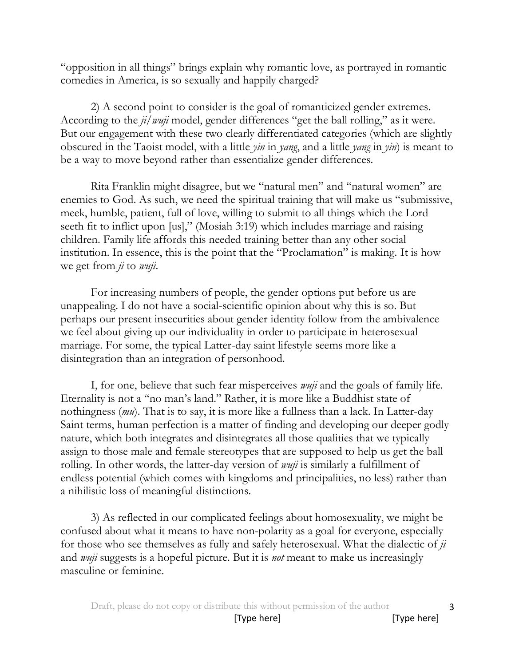"opposition in all things" brings explain why romantic love, as portrayed in romantic comedies in America, is so sexually and happily charged?

2) A second point to consider is the goal of romanticized gender extremes. According to the *ji/wuji* model, gender differences "get the ball rolling," as it were. But our engagement with these two clearly differentiated categories (which are slightly obscured in the Taoist model, with a little *yin* in *yang*, and a little *yang* in *yin*) is meant to be a way to move beyond rather than essentialize gender differences.

Rita Franklin might disagree, but we "natural men" and "natural women" are enemies to God. As such, we need the spiritual training that will make us "submissive, meek, humble, patient, full of love, willing to submit to all things which the Lord seeth fit to inflict upon [us]," (Mosiah 3:19) which includes marriage and raising children. Family life affords this needed training better than any other social institution. In essence, this is the point that the "Proclamation" is making. It is how we get from *ji* to *wuji*.

For increasing numbers of people, the gender options put before us are unappealing. I do not have a social-scientific opinion about why this is so. But perhaps our present insecurities about gender identity follow from the ambivalence we feel about giving up our individuality in order to participate in heterosexual marriage. For some, the typical Latter-day saint lifestyle seems more like a disintegration than an integration of personhood.

I, for one, believe that such fear misperceives *wuji* and the goals of family life*.*  Eternality is not a "no man's land." Rather, it is more like a Buddhist state of nothingness (*mu*). That is to say, it is more like a fullness than a lack. In Latter-day Saint terms, human perfection is a matter of finding and developing our deeper godly nature, which both integrates and disintegrates all those qualities that we typically assign to those male and female stereotypes that are supposed to help us get the ball rolling. In other words, the latter-day version of *wuji* is similarly a fulfillment of endless potential (which comes with kingdoms and principalities, no less) rather than a nihilistic loss of meaningful distinctions.

3) As reflected in our complicated feelings about homosexuality, we might be confused about what it means to have non-polarity as a goal for everyone, especially for those who see themselves as fully and safely heterosexual. What the dialectic of *ji* and *wuji* suggests is a hopeful picture. But it is *not* meant to make us increasingly masculine or feminine.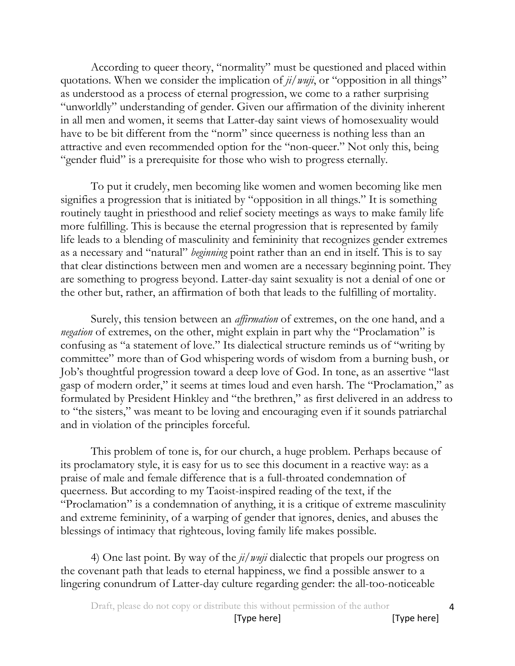According to queer theory, "normality" must be questioned and placed within quotations. When we consider the implication of *ji/wuji*, or "opposition in all things" as understood as a process of eternal progression, we come to a rather surprising "unworldly" understanding of gender. Given our affirmation of the divinity inherent in all men and women, it seems that Latter-day saint views of homosexuality would have to be bit different from the "norm" since queerness is nothing less than an attractive and even recommended option for the "non-queer." Not only this, being "gender fluid" is a prerequisite for those who wish to progress eternally.

To put it crudely, men becoming like women and women becoming like men signifies a progression that is initiated by "opposition in all things." It is something routinely taught in priesthood and relief society meetings as ways to make family life more fulfilling. This is because the eternal progression that is represented by family life leads to a blending of masculinity and femininity that recognizes gender extremes as a necessary and "natural" *beginning* point rather than an end in itself. This is to say that clear distinctions between men and women are a necessary beginning point. They are something to progress beyond. Latter-day saint sexuality is not a denial of one or the other but, rather, an affirmation of both that leads to the fulfilling of mortality.

Surely, this tension between an *affirmation* of extremes, on the one hand, and a *negation* of extremes, on the other, might explain in part why the "Proclamation" is confusing as "a statement of love." Its dialectical structure reminds us of "writing by committee" more than of God whispering words of wisdom from a burning bush, or Job's thoughtful progression toward a deep love of God. In tone, as an assertive "last gasp of modern order," it seems at times loud and even harsh. The "Proclamation," as formulated by President Hinkley and "the brethren," as first delivered in an address to to "the sisters," was meant to be loving and encouraging even if it sounds patriarchal and in violation of the principles forceful.

This problem of tone is, for our church, a huge problem. Perhaps because of its proclamatory style, it is easy for us to see this document in a reactive way: as a praise of male and female difference that is a full-throated condemnation of queerness. But according to my Taoist-inspired reading of the text, if the "Proclamation" is a condemnation of anything, it is a critique of extreme masculinity and extreme femininity, of a warping of gender that ignores, denies, and abuses the blessings of intimacy that righteous, loving family life makes possible.

4) One last point. By way of the *ji/wuji* dialectic that propels our progress on the covenant path that leads to eternal happiness, we find a possible answer to a lingering conundrum of Latter-day culture regarding gender: the all-too-noticeable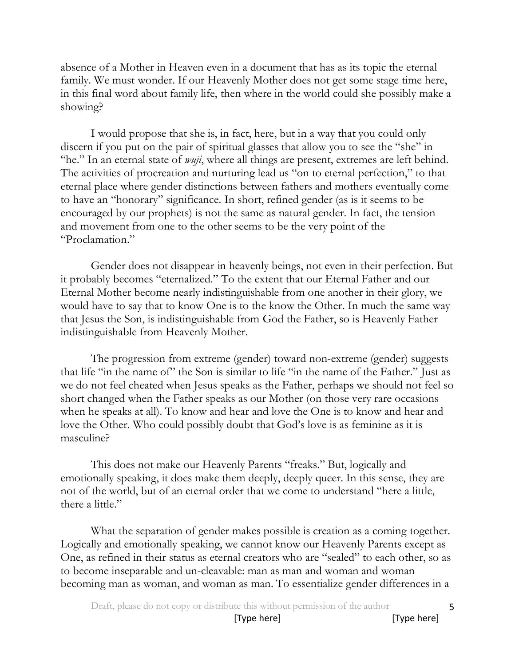absence of a Mother in Heaven even in a document that has as its topic the eternal family. We must wonder. If our Heavenly Mother does not get some stage time here, in this final word about family life, then where in the world could she possibly make a showing?

I would propose that she is, in fact, here, but in a way that you could only discern if you put on the pair of spiritual glasses that allow you to see the "she" in "he." In an eternal state of *wuji*, where all things are present, extremes are left behind. The activities of procreation and nurturing lead us "on to eternal perfection," to that eternal place where gender distinctions between fathers and mothers eventually come to have an "honorary" significance. In short, refined gender (as is it seems to be encouraged by our prophets) is not the same as natural gender. In fact, the tension and movement from one to the other seems to be the very point of the "Proclamation."

Gender does not disappear in heavenly beings, not even in their perfection. But it probably becomes "eternalized." To the extent that our Eternal Father and our Eternal Mother become nearly indistinguishable from one another in their glory, we would have to say that to know One is to the know the Other. In much the same way that Jesus the Son, is indistinguishable from God the Father, so is Heavenly Father indistinguishable from Heavenly Mother.

The progression from extreme (gender) toward non-extreme (gender) suggests that life "in the name of" the Son is similar to life "in the name of the Father." Just as we do not feel cheated when Jesus speaks as the Father, perhaps we should not feel so short changed when the Father speaks as our Mother (on those very rare occasions when he speaks at all). To know and hear and love the One is to know and hear and love the Other. Who could possibly doubt that God's love is as feminine as it is masculine?

This does not make our Heavenly Parents "freaks." But, logically and emotionally speaking, it does make them deeply, deeply queer. In this sense, they are not of the world, but of an eternal order that we come to understand "here a little, there a little."

What the separation of gender makes possible is creation as a coming together. Logically and emotionally speaking, we cannot know our Heavenly Parents except as One, as refined in their status as eternal creators who are "sealed" to each other, so as to become inseparable and un-cleavable: man as man and woman and woman becoming man as woman, and woman as man. To essentialize gender differences in a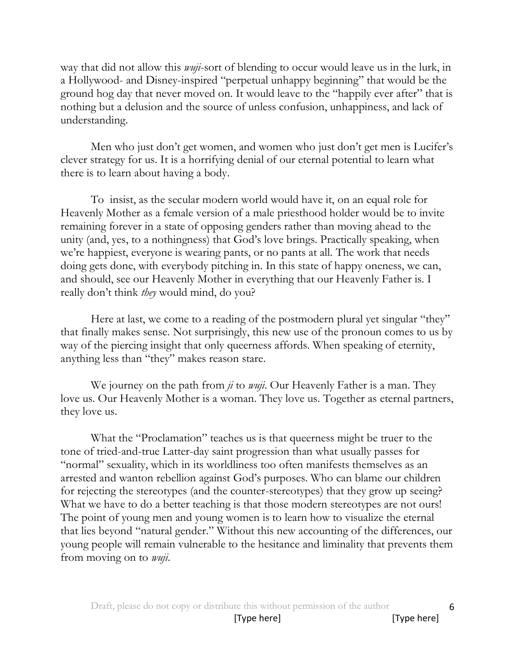way that did not allow this *wuji*-sort of blending to occur would leave us in the lurk, in a Hollywood- and Disney-inspired "perpetual unhappy beginning" that would be the ground hog day that never moved on. It would leave to the "happily ever after" that is nothing but a delusion and the source of unless confusion, unhappiness, and lack of understanding.

Men who just don't get women, and women who just don't get men is Lucifer's clever strategy for us. It is a horrifying denial of our eternal potential to learn what there is to learn about having a body.

To insist, as the secular modern world would have it, on an equal role for Heavenly Mother as a female version of a male priesthood holder would be to invite remaining forever in a state of opposing genders rather than moving ahead to the unity (and, yes, to a nothingness) that God's love brings. Practically speaking, when we're happiest, everyone is wearing pants, or no pants at all. The work that needs doing gets done, with everybody pitching in. In this state of happy oneness, we can, and should, see our Heavenly Mother in everything that our Heavenly Father is. I really don't think *they* would mind, do you?

Here at last, we come to a reading of the postmodern plural yet singular "they" that finally makes sense. Not surprisingly, this new use of the pronoun comes to us by way of the piercing insight that only queerness affords. When speaking of eternity, anything less than "they" makes reason stare.

We journey on the path from *ji* to *wuji*. Our Heavenly Father is a man. They love us. Our Heavenly Mother is a woman. They love us. Together as eternal partners, they love us.

What the "Proclamation" teaches us is that queerness might be truer to the tone of tried-and-true Latter-day saint progression than what usually passes for "normal" sexuality, which in its worldliness too often manifests themselves as an arrested and wanton rebellion against God's purposes. Who can blame our children for rejecting the stereotypes (and the counter-stereotypes) that they grow up seeing? What we have to do a better teaching is that those modern stereotypes are not ours! The point of young men and young women is to learn how to visualize the eternal that lies beyond "natural gender." Without this new accounting of the differences, our young people will remain vulnerable to the hesitance and liminality that prevents them from moving on to *wuji*.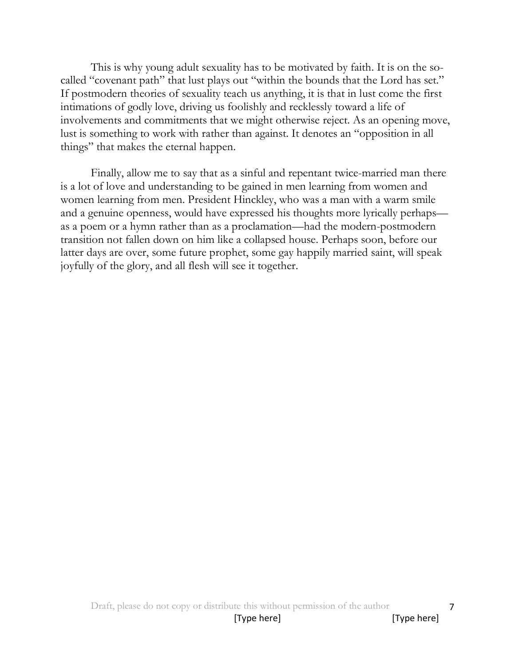This is why young adult sexuality has to be motivated by faith. It is on the socalled "covenant path" that lust plays out "within the bounds that the Lord has set." If postmodern theories of sexuality teach us anything, it is that in lust come the first intimations of godly love, driving us foolishly and recklessly toward a life of involvements and commitments that we might otherwise reject. As an opening move, lust is something to work with rather than against. It denotes an "opposition in all things" that makes the eternal happen.

Finally, allow me to say that as a sinful and repentant twice-married man there is a lot of love and understanding to be gained in men learning from women and women learning from men. President Hinckley, who was a man with a warm smile and a genuine openness, would have expressed his thoughts more lyrically perhaps as a poem or a hymn rather than as a proclamation—had the modern-postmodern transition not fallen down on him like a collapsed house. Perhaps soon, before our latter days are over, some future prophet, some gay happily married saint, will speak joyfully of the glory, and all flesh will see it together.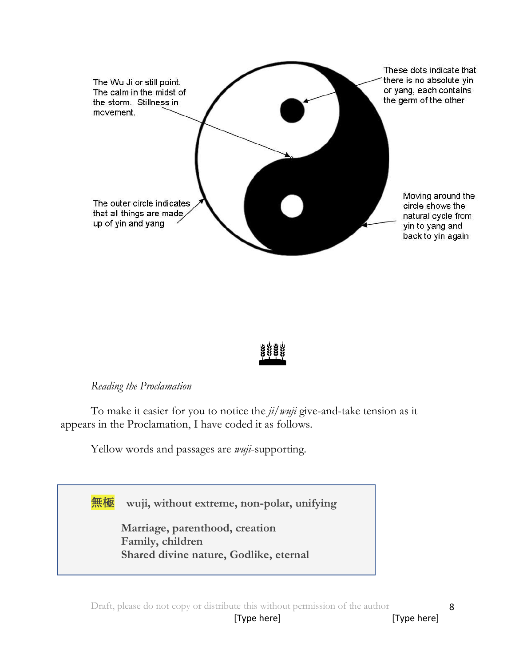

*Reading the Proclamation*

To make it easier for you to notice the *ji/wuji* give-and-take tension as it appears in the Proclamation, I have coded it as follows.

Yellow words and passages are *wuji*-supporting.

無極 **wuji, without extreme, non-polar, unifying Marriage, parenthood, creation Family, children Shared divine nature, Godlike, eternal**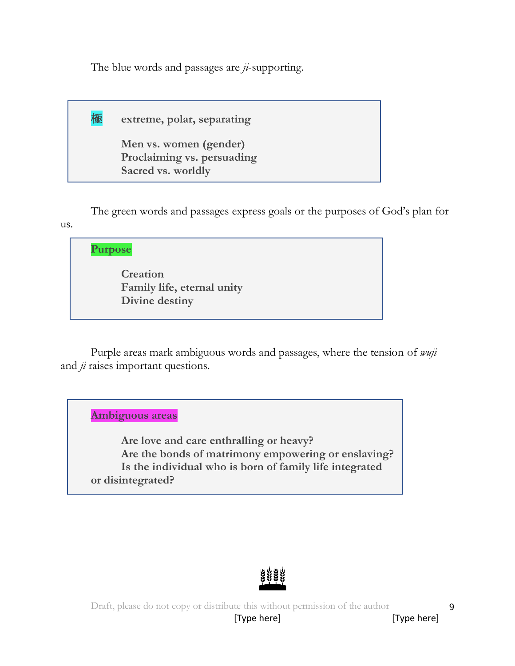The blue words and passages are *ji*-supporting.

| extreme, polar, separating                                                 |
|----------------------------------------------------------------------------|
| Men vs. women (gender)<br>Proclaiming vs. persuading<br>Sacred vs. worldly |

The green words and passages express goals or the purposes of God's plan for us.

| <b>Purpose</b>                         |  |
|----------------------------------------|--|
| Creation<br>Family life, eternal unity |  |
| Divine destiny                         |  |
|                                        |  |

Purple areas mark ambiguous words and passages, where the tension of *wuji* and *ji* raises important questions.

### **Ambiguous areas**

**Are love and care enthralling or heavy? Are the bonds of matrimony empowering or enslaving? Is the individual who is born of family life integrated or disintegrated?** 



Draft, please do not copy or distribute this without permission of the author

[Type here] [Type here]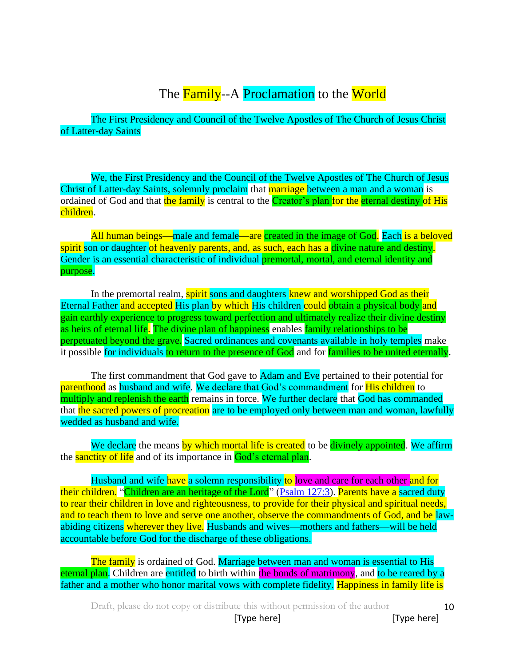# The Family--A Proclamation to the World

The First Presidency and Council of the Twelve Apostles of The Church of Jesus Christ of Latter-day Saints

We, the First Presidency and the Council of the Twelve Apostles of The Church of Jesus Christ of Latter-day Saints, solemnly proclaim that marriage between a man and a woman is ordained of God and that the family is central to the Creator's plan for the eternal destiny of His children.

All human beings—male and female—are created in the image of God. Each is a beloved spirit son or daughter of heavenly parents, and, as such, each has a divine nature and destiny. Gender is an essential characteristic of individual premortal, mortal, and eternal identity and purpose.

In the premortal realm, spirit sons and daughters knew and worshipped God as their Eternal Father and accepted His plan by which His children could obtain a physical body and gain earthly experience to progress toward perfection and ultimately realize their divine destiny as heirs of eternal life. The divine plan of happiness enables family relationships to be perpetuated beyond the grave. Sacred ordinances and covenants available in holy temples make it possible for individuals to return to the presence of God and for families to be united eternally.

The first commandment that God gave to **Adam and Eve** pertained to their potential for parenthood as husband and wife. We declare that God's commandment for His children to multiply and replenish the earth remains in force. We further declare that God has commanded that the sacred powers of procreation are to be employed only between man and woman, lawfully wedded as husband and wife.

We declare the means by which mortal life is created to be divinely appointed. We affirm the sanctity of life and of its importance in God's eternal plan.

Husband and wife have a solemn responsibility to love and care for each other and for their children. "Children are an heritage of the Lord" [\(Psalm 127:3\)](https://www.churchofjesuschrist.org/study/scriptures/ot/ps/127.3?lang=eng#p3). Parents have a sacred duty to rear their children in love and righteousness, to provide for their physical and spiritual needs, and to teach them to love and serve one another, observe the commandments of God, and be lawabiding citizens wherever they live. Husbands and wives—mothers and fathers—will be held accountable before God for the discharge of these obligations.

The family is ordained of God. Marriage between man and woman is essential to His eternal plan. Children are entitled to birth within the bonds of matrimony, and to be reared by a father and a mother who honor marital vows with complete fidelity. Happiness in family life is

Draft, please do not copy or distribute this without permission of the author [Type here] [Type here]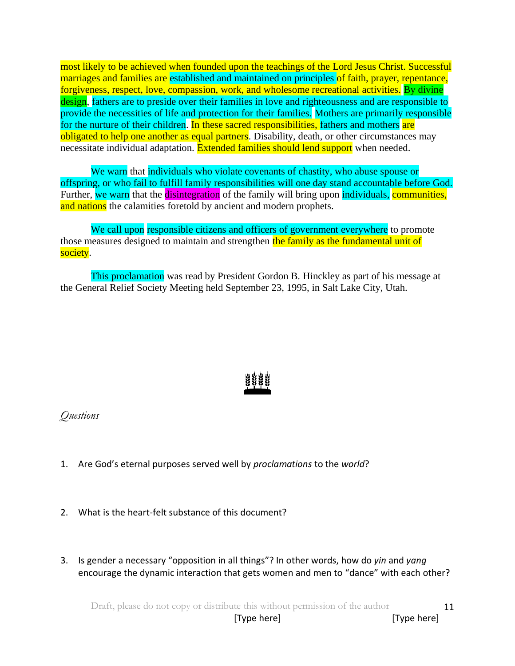most likely to be achieved when founded upon the teachings of the Lord Jesus Christ. Successful marriages and families are established and maintained on principles of faith, prayer, repentance, forgiveness, respect, love, compassion, work, and wholesome recreational activities. By divine design, fathers are to preside over their families in love and righteousness and are responsible to provide the necessities of life and protection for their families. Mothers are primarily responsible for the nurture of their children. In these sacred responsibilities, fathers and mothers are obligated to help one another as equal partners. Disability, death, or other circumstances may necessitate individual adaptation. Extended families should lend support when needed.

We warn that individuals who violate covenants of chastity, who abuse spouse or offspring, or who fail to fulfill family responsibilities will one day stand accountable before God. Further, we warn that the disintegration of the family will bring upon individuals, communities, and nations the calamities foretold by ancient and modern prophets.

We call upon responsible citizens and officers of government everywhere to promote those measures designed to maintain and strengthen the family as the fundamental unit of society.

This proclamation was read by President Gordon B. Hinckley as part of his message at the General Relief Society Meeting held September 23, 1995, in Salt Lake City, Utah.

*Questions*

- 1. Are God's eternal purposes served well by *proclamations* to the *world*?
- 2. What is the heart-felt substance of this document?
- 3. Is gender a necessary "opposition in all things"? In other words, how do *yin* and *yang* encourage the dynamic interaction that gets women and men to "dance" with each other?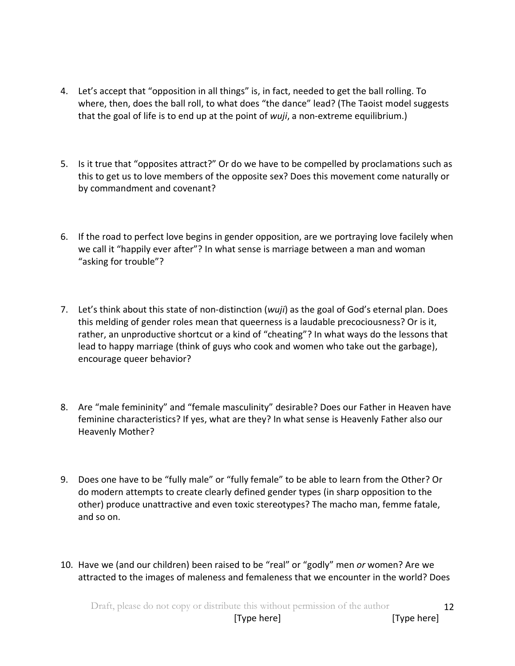- 4. Let's accept that "opposition in all things" is, in fact, needed to get the ball rolling. To where, then, does the ball roll, to what does "the dance" lead? (The Taoist model suggests that the goal of life is to end up at the point of *wuji*, a non-extreme equilibrium.)
- 5. Is it true that "opposites attract?" Or do we have to be compelled by proclamations such as this to get us to love members of the opposite sex? Does this movement come naturally or by commandment and covenant?
- 6. If the road to perfect love begins in gender opposition, are we portraying love facilely when we call it "happily ever after"? In what sense is marriage between a man and woman "asking for trouble"?
- 7. Let's think about this state of non-distinction (*wuji*) as the goal of God's eternal plan. Does this melding of gender roles mean that queerness is a laudable precociousness? Or is it, rather, an unproductive shortcut or a kind of "cheating"? In what ways do the lessons that lead to happy marriage (think of guys who cook and women who take out the garbage), encourage queer behavior?
- 8. Are "male femininity" and "female masculinity" desirable? Does our Father in Heaven have feminine characteristics? If yes, what are they? In what sense is Heavenly Father also our Heavenly Mother?
- 9. Does one have to be "fully male" or "fully female" to be able to learn from the Other? Or do modern attempts to create clearly defined gender types (in sharp opposition to the other) produce unattractive and even toxic stereotypes? The macho man, femme fatale, and so on.
- 10. Have we (and our children) been raised to be "real" or "godly" men *or* women? Are we attracted to the images of maleness and femaleness that we encounter in the world? Does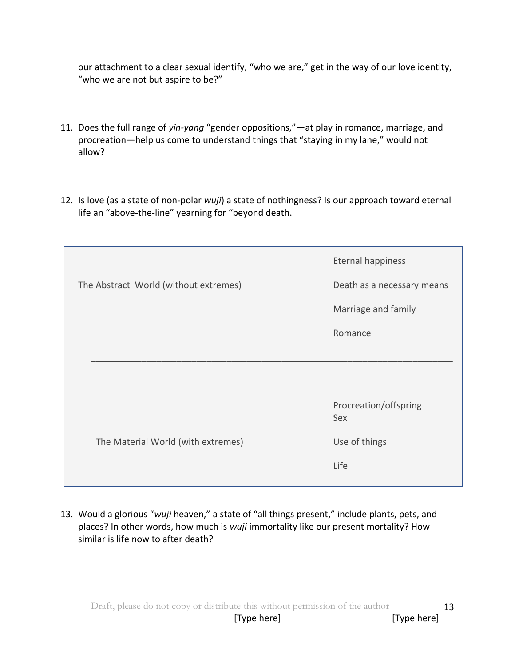our attachment to a clear sexual identify, "who we are," get in the way of our love identity, "who we are not but aspire to be?"

- 11. Does the full range of *yin-yang* "gender oppositions,"—at play in romance, marriage, and procreation—help us come to understand things that "staying in my lane," would not allow?
- 12. Is love (as a state of non-polar *wuji*) a state of nothingness? Is our approach toward eternal life an "above-the-line" yearning for "beyond death.

| <b>Eternal happiness</b>     |
|------------------------------|
| Death as a necessary means   |
| Marriage and family          |
| Romance                      |
|                              |
|                              |
| Procreation/offspring<br>Sex |
| Use of things                |
| Life                         |
|                              |

13. Would a glorious "*wuji* heaven," a state of "all things present," include plants, pets, and places? In other words, how much is *wuji* immortality like our present mortality? How similar is life now to after death?